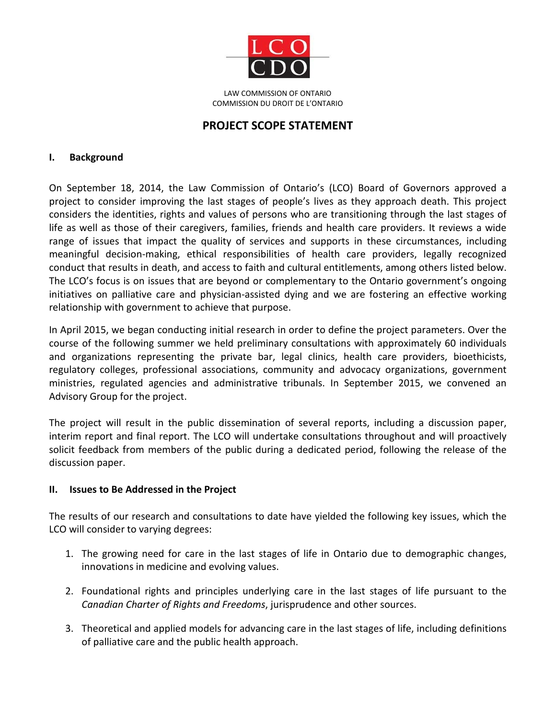

LAW COMMISSION OF ONTARIO COMMISSION DU DROIT DE L'ONTARIO

# **PROJECT SCOPE STATEMENT**

## **I. Background**

On September 18, 2014, the Law Commission of Ontario's (LCO) Board of Governors approved a project to consider improving the last stages of people's lives as they approach death. This project considers the identities, rights and values of persons who are transitioning through the last stages of life as well as those of their caregivers, families, friends and health care providers. It reviews a wide range of issues that impact the quality of services and supports in these circumstances, including meaningful decision-making, ethical responsibilities of health care providers, legally recognized conduct that results in death, and access to faith and cultural entitlements, among others listed below. The LCO's focus is on issues that are beyond or complementary to the Ontario government's ongoing initiatives on palliative care and physician-assisted dying and we are fostering an effective working relationship with government to achieve that purpose.

In April 2015, we began conducting initial research in order to define the project parameters. Over the course of the following summer we held preliminary consultations with approximately 60 individuals and organizations representing the private bar, legal clinics, health care providers, bioethicists, regulatory colleges, professional associations, community and advocacy organizations, government ministries, regulated agencies and administrative tribunals. In September 2015, we convened an Advisory Group for the project.

The project will result in the public dissemination of several reports, including a discussion paper, interim report and final report. The LCO will undertake consultations throughout and will proactively solicit feedback from members of the public during a dedicated period, following the release of the discussion paper.

### **II. Issues to Be Addressed in the Project**

The results of our research and consultations to date have yielded the following key issues, which the LCO will consider to varying degrees:

- 1. The growing need for care in the last stages of life in Ontario due to demographic changes, innovations in medicine and evolving values.
- 2. Foundational rights and principles underlying care in the last stages of life pursuant to the *Canadian Charter of Rights and Freedoms*, jurisprudence and other sources.
- 3. Theoretical and applied models for advancing care in the last stages of life, including definitions of palliative care and the public health approach.